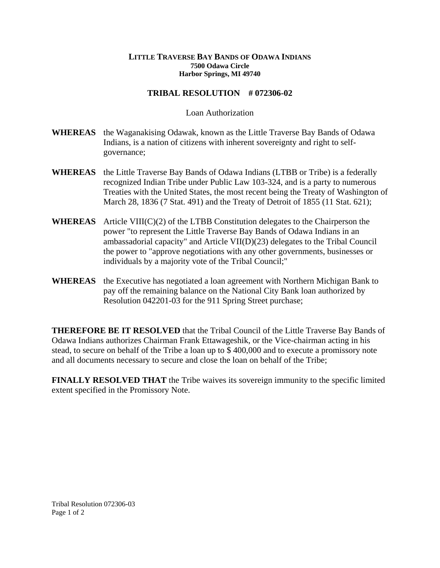## **LITTLE TRAVERSE BAY BANDS OF ODAWA INDIANS 7500 Odawa Circle Harbor Springs, MI 49740**

## **TRIBAL RESOLUTION # 072306-02**

## Loan Authorization

- **WHEREAS** the Waganakising Odawak, known as the Little Traverse Bay Bands of Odawa Indians, is a nation of citizens with inherent sovereignty and right to selfgovernance;
- **WHEREAS** the Little Traverse Bay Bands of Odawa Indians (LTBB or Tribe) is a federally recognized Indian Tribe under Public Law 103-324, and is a party to numerous Treaties with the United States, the most recent being the Treaty of Washington of March 28, 1836 (7 Stat. 491) and the Treaty of Detroit of 1855 (11 Stat. 621);
- **WHEREAS** Article VIII(C)(2) of the LTBB Constitution delegates to the Chairperson the power "to represent the Little Traverse Bay Bands of Odawa Indians in an ambassadorial capacity" and Article VII(D)(23) delegates to the Tribal Council the power to "approve negotiations with any other governments, businesses or individuals by a majority vote of the Tribal Council;"
- **WHEREAS** the Executive has negotiated a loan agreement with Northern Michigan Bank to pay off the remaining balance on the National City Bank loan authorized by Resolution 042201-03 for the 911 Spring Street purchase;

**THEREFORE BE IT RESOLVED** that the Tribal Council of the Little Traverse Bay Bands of Odawa Indians authorizes Chairman Frank Ettawageshik, or the Vice-chairman acting in his stead, to secure on behalf of the Tribe a loan up to \$ 400,000 and to execute a promissory note and all documents necessary to secure and close the loan on behalf of the Tribe;

**FINALLY RESOLVED THAT** the Tribe waives its sovereign immunity to the specific limited extent specified in the Promissory Note.